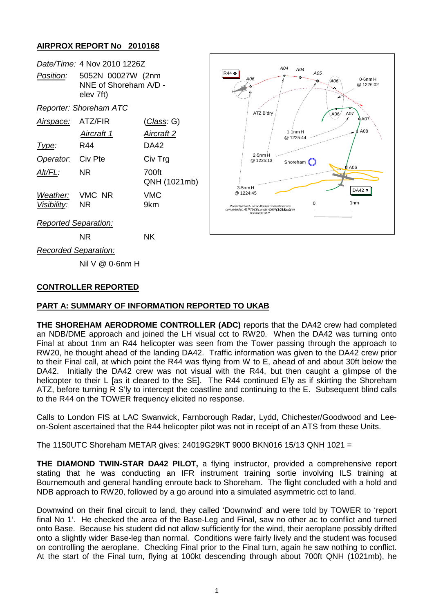# **AIRPROX REPORT No 2010168**

|                                   | Date/Time: 4 Nov 2010 1226Z                                       |                       |
|-----------------------------------|-------------------------------------------------------------------|-----------------------|
|                                   | Position: 5052N 00027W (2nm<br>NNF of Shoreham A/D -<br>elev 7ft) |                       |
|                                   | <b>Reporter: Shoreham ATC</b>                                     |                       |
| Airspace: ATZ/FIR                 |                                                                   | <u>(Class</u> : G)    |
|                                   | Aircraft 1                                                        | Aircraft 2            |
| Type:                             | R44                                                               | DA42                  |
| Operator: Civ Pte                 |                                                                   | Civ Trg               |
| AIt/FL:                           | NR                                                                | 700ft<br>QNH (1021mb) |
| Weather: VMC NR<br>Visibility: NR |                                                                   | VMC<br>9km            |
| <b>Reported Separation:</b>       |                                                                   |                       |



NR NK

*Recorded Separation:*

Nil V @ 0·6nm H

# **CONTROLLER REPORTED**

# **PART A: SUMMARY OF INFORMATION REPORTED TO UKAB**

**THE SHOREHAM AERODROME CONTROLLER (ADC)** reports that the DA42 crew had completed an NDB/DME approach and joined the LH visual cct to RW20. When the DA42 was turning onto Final at about 1nm an R44 helicopter was seen from the Tower passing through the approach to RW20, he thought ahead of the landing DA42. Traffic information was given to the DA42 crew prior to their Final call, at which point the R44 was flying from W to E, ahead of and about 30ft below the DA42. Initially the DA42 crew was not visual with the R44, but then caught a glimpse of the helicopter to their L [as it cleared to the SE]. The R44 continued E'ly as if skirting the Shoreham ATZ, before turning R S'ly to intercept the coastline and continuing to the E. Subsequent blind calls to the R44 on the TOWER frequency elicited no response.

Calls to London FIS at LAC Swanwick, Farnborough Radar, Lydd, Chichester/Goodwood and Leeon-Solent ascertained that the R44 helicopter pilot was not in receipt of an ATS from these Units.

The 1150UTC Shoreham METAR gives: 24019G29KT 9000 BKN016 15/13 QNH 1021 =

**THE DIAMOND TWIN-STAR DA42 PILOT,** a flying instructor, provided a comprehensive report stating that he was conducting an IFR instrument training sortie involving ILS training at Bournemouth and general handling enroute back to Shoreham. The flight concluded with a hold and NDB approach to RW20, followed by a go around into a simulated asymmetric cct to land.

Downwind on their final circuit to land, they called 'Downwind' and were told by TOWER to 'report final No 1'. He checked the area of the Base-Leg and Final, saw no other ac to conflict and turned onto Base. Because his student did not allow sufficiently for the wind, their aeroplane possibly drifted onto a slightly wider Base-leg than normal. Conditions were fairly lively and the student was focused on controlling the aeroplane. Checking Final prior to the Final turn, again he saw nothing to conflict. At the start of the Final turn, flying at 100kt descending through about 700ft QNH (1021mb), he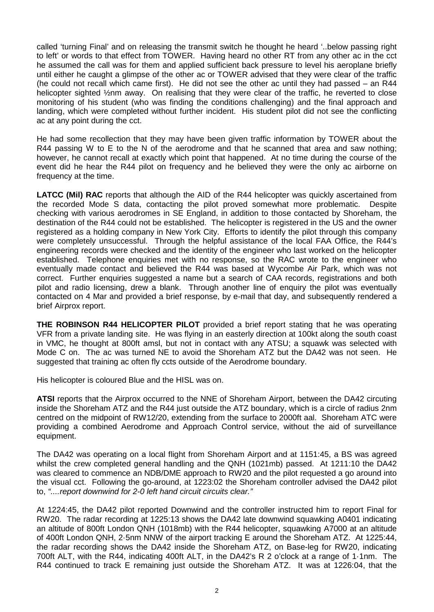called 'turning Final' and on releasing the transmit switch he thought he heard '..below passing right to left' or words to that effect from TOWER. Having heard no other RT from any other ac in the cct he assumed the call was for them and applied sufficient back pressure to level his aeroplane briefly until either he caught a glimpse of the other ac or TOWER advised that they were clear of the traffic (he could not recall which came first). He did not see the other ac until they had passed – an R44 helicopter sighted 1/2nm away. On realising that they were clear of the traffic, he reverted to close monitoring of his student (who was finding the conditions challenging) and the final approach and landing, which were completed without further incident. His student pilot did not see the conflicting ac at any point during the cct.

He had some recollection that they may have been given traffic information by TOWER about the R44 passing W to E to the N of the aerodrome and that he scanned that area and saw nothing; however, he cannot recall at exactly which point that happened. At no time during the course of the event did he hear the R44 pilot on frequency and he believed they were the only ac airborne on frequency at the time.

**LATCC (Mil) RAC** reports that although the AID of the R44 helicopter was quickly ascertained from the recorded Mode S data, contacting the pilot proved somewhat more problematic. Despite checking with various aerodromes in SE England, in addition to those contacted by Shoreham, the destination of the R44 could not be established. The helicopter is registered in the US and the owner registered as a holding company in New York City. Efforts to identify the pilot through this company were completely unsuccessful. Through the helpful assistance of the local FAA Office, the R44's engineering records were checked and the identity of the engineer who last worked on the helicopter established. Telephone enquiries met with no response, so the RAC wrote to the engineer who eventually made contact and believed the R44 was based at Wycombe Air Park, which was not correct. Further enquiries suggested a name but a search of CAA records, registrations and both pilot and radio licensing, drew a blank. Through another line of enquiry the pilot was eventually contacted on 4 Mar and provided a brief response, by e-mail that day, and subsequently rendered a brief Airprox report.

**THE ROBINSON R44 HELICOPTER PILOT** provided a brief report stating that he was operating VFR from a private landing site. He was flying in an easterly direction at 100kt along the south coast in VMC, he thought at 800ft amsl, but not in contact with any ATSU; a squawk was selected with Mode C on. The ac was turned NE to avoid the Shoreham ATZ but the DA42 was not seen. He suggested that training ac often fly ccts outside of the Aerodrome boundary.

His helicopter is coloured Blue and the HISL was on.

**ATSI** reports that the Airprox occurred to the NNE of Shoreham Airport, between the DA42 circuting inside the Shoreham ATZ and the R44 just outside the ATZ boundary, which is a circle of radius 2nm centred on the midpoint of RW12/20, extending from the surface to 2000ft aal. Shoreham ATC were providing a combined Aerodrome and Approach Control service, without the aid of surveillance equipment.

The DA42 was operating on a local flight from Shoreham Airport and at 1151:45, a BS was agreed whilst the crew completed general handling and the QNH (1021mb) passed. At 1211:10 the DA42 was cleared to commence an NDB/DME approach to RW20 and the pilot requested a go around into the visual cct. Following the go-around, at 1223:02 the Shoreham controller advised the DA42 pilot to, *"....report downwind for 2-0 left hand circuit circuits clear."*

At 1224:45, the DA42 pilot reported Downwind and the controller instructed him to report Final for RW20. The radar recording at 1225:13 shows the DA42 late downwind squawking A0401 indicating an altitude of 800ft London QNH (1018mb) with the R44 helicopter, squawking A7000 at an altitude of 400ft London QNH, 2·5nm NNW of the airport tracking E around the Shoreham ATZ. At 1225:44, the radar recording shows the DA42 inside the Shoreham ATZ, on Base-leg for RW20, indicating 700ft ALT, with the R44, indicating 400ft ALT, in the DA42's R 2 o'clock at a range of 1·1nm. The R44 continued to track E remaining just outside the Shoreham ATZ. It was at 1226:04, that the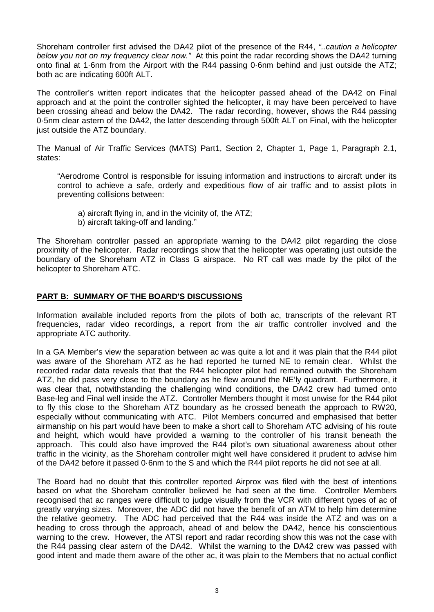Shoreham controller first advised the DA42 pilot of the presence of the R44, *"..caution a helicopter below you not on my frequency clear now."* At this point the radar recording shows the DA42 turning onto final at 1·6nm from the Airport with the R44 passing 0·6nm behind and just outside the ATZ; both ac are indicating 600ft ALT.

The controller's written report indicates that the helicopter passed ahead of the DA42 on Final approach and at the point the controller sighted the helicopter, it may have been perceived to have been crossing ahead and below the DA42. The radar recording, however, shows the R44 passing 0·5nm clear astern of the DA42, the latter descending through 500ft ALT on Final, with the helicopter just outside the ATZ boundary.

The Manual of Air Traffic Services (MATS) Part1, Section 2, Chapter 1, Page 1, Paragraph 2.1, states:

"Aerodrome Control is responsible for issuing information and instructions to aircraft under its control to achieve a safe, orderly and expeditious flow of air traffic and to assist pilots in preventing collisions between:

- a) aircraft flying in, and in the vicinity of, the ATZ;
- b) aircraft taking-off and landing."

The Shoreham controller passed an appropriate warning to the DA42 pilot regarding the close proximity of the helicopter. Radar recordings show that the helicopter was operating just outside the boundary of the Shoreham ATZ in Class G airspace. No RT call was made by the pilot of the helicopter to Shoreham ATC.

# **PART B: SUMMARY OF THE BOARD'S DISCUSSIONS**

Information available included reports from the pilots of both ac, transcripts of the relevant RT frequencies, radar video recordings, a report from the air traffic controller involved and the appropriate ATC authority.

In a GA Member's view the separation between ac was quite a lot and it was plain that the R44 pilot was aware of the Shoreham ATZ as he had reported he turned NE to remain clear. Whilst the recorded radar data reveals that that the R44 helicopter pilot had remained outwith the Shoreham ATZ, he did pass very close to the boundary as he flew around the NE'ly quadrant. Furthermore, it was clear that, notwithstanding the challenging wind conditions, the DA42 crew had turned onto Base-leg and Final well inside the ATZ. Controller Members thought it most unwise for the R44 pilot to fly this close to the Shoreham ATZ boundary as he crossed beneath the approach to RW20, especially without communicating with ATC. Pilot Members concurred and emphasised that better airmanship on his part would have been to make a short call to Shoreham ATC advising of his route and height, which would have provided a warning to the controller of his transit beneath the approach. This could also have improved the R44 pilot's own situational awareness about other traffic in the vicinity, as the Shoreham controller might well have considered it prudent to advise him of the DA42 before it passed 0·6nm to the S and which the R44 pilot reports he did not see at all.

The Board had no doubt that this controller reported Airprox was filed with the best of intentions based on what the Shoreham controller believed he had seen at the time. Controller Members recognised that ac ranges were difficult to judge visually from the VCR with different types of ac of greatly varying sizes. Moreover, the ADC did not have the benefit of an ATM to help him determine the relative geometry. The ADC had perceived that the R44 was inside the ATZ and was on a heading to cross through the approach, ahead of and below the DA42, hence his conscientious warning to the crew. However, the ATSI report and radar recording show this was not the case with the R44 passing clear astern of the DA42. Whilst the warning to the DA42 crew was passed with good intent and made them aware of the other ac, it was plain to the Members that no actual conflict